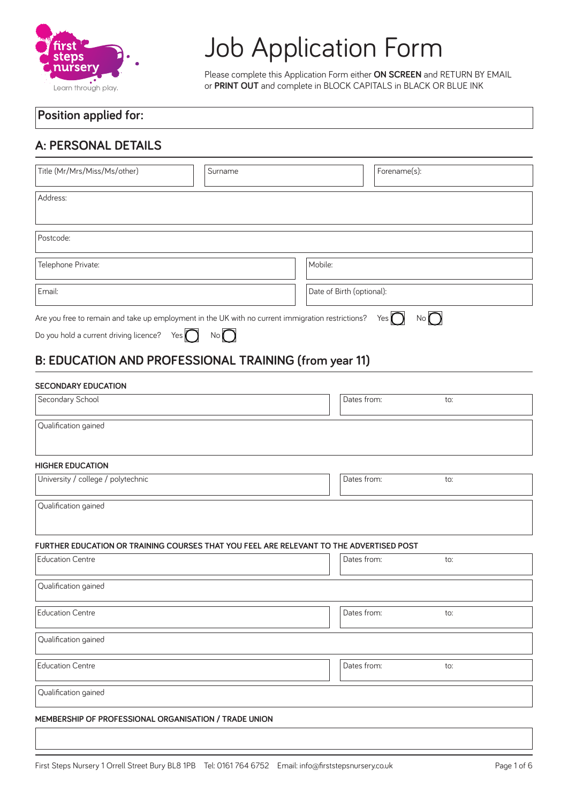

# Job Application Form

Please complete this Application Form either **ON SCREEN** and RETURN BY EMAIL or **PRINT OUT** and complete in BLOCK CAPITALS in BLACK OR BLUE INK

#### **Position applied for:**

## **A: PERSONAL DETAILS**

| Title (Mr/Mrs/Miss/Ms/other)                                                                                                                         | Surname     |                           | Forename(s): |
|------------------------------------------------------------------------------------------------------------------------------------------------------|-------------|---------------------------|--------------|
| Address:                                                                                                                                             |             |                           |              |
| Postcode:                                                                                                                                            |             |                           |              |
| Telephone Private:                                                                                                                                   |             | Mobile:                   |              |
| Email:                                                                                                                                               |             | Date of Birth (optional): |              |
| Are you free to remain and take up employment in the UK with no current immigration restrictions?<br>Do you hold a current driving licence?<br>Yes ( | No <b>f</b> |                           | No( )<br>Yes |

## **B: EDUCATION AND PROFESSIONAL TRAINING (from year 11)**

#### **SECONDARY EDUCATION**

| Secondary School                                                                        | Dates from: | to: |
|-----------------------------------------------------------------------------------------|-------------|-----|
| Qualification gained                                                                    |             |     |
| <b>HIGHER EDUCATION</b>                                                                 |             |     |
| University / college / polytechnic                                                      | Dates from: | to: |
| Qualification gained                                                                    |             |     |
| FURTHER EDUCATION OR TRAINING COURSES THAT YOU FEEL ARE RELEVANT TO THE ADVERTISED POST |             |     |
| <b>Education Centre</b>                                                                 | Dates from: | to: |
| Qualification gained                                                                    |             |     |
| <b>Education Centre</b>                                                                 | Dates from: | to: |
| Qualification gained                                                                    |             |     |
| <b>Education Centre</b>                                                                 | Dates from: | to: |
| Qualification gained                                                                    |             |     |
| MEMBERSHIP OF PROFESSIONAL ORGANISATION / TRADE UNION                                   |             |     |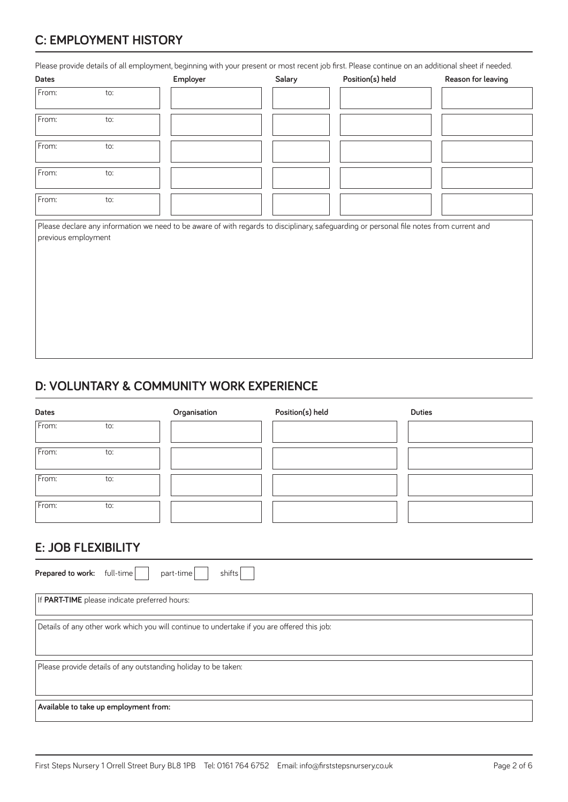# **C: EMPLOYMENT HISTORY**

Please provide details of all employment, beginning with your present or most recent job first. Please continue on an additional sheet if needed.

| Dates               |     | Employer | Salary | Position(s) held                                                                                                                         | Reason for leaving |
|---------------------|-----|----------|--------|------------------------------------------------------------------------------------------------------------------------------------------|--------------------|
| From:               | to: |          |        |                                                                                                                                          |                    |
| From:               | to: |          |        |                                                                                                                                          |                    |
| From:               | to: |          |        |                                                                                                                                          |                    |
| From:               | to: |          |        |                                                                                                                                          |                    |
| From:               | to: |          |        |                                                                                                                                          |                    |
| previous employment |     |          |        | Please declare any information we need to be aware of with regards to disciplinary, safeguarding or personal file notes from current and |                    |

### **D: VOLUNTARY & COMMUNITY WORK EXPERIENCE**

| <b>Dates</b>                                             |                                               | Organisation                                                                                | Position(s) held | <b>Duties</b> |
|----------------------------------------------------------|-----------------------------------------------|---------------------------------------------------------------------------------------------|------------------|---------------|
| From:                                                    | to:                                           |                                                                                             |                  |               |
| From:                                                    | to:                                           |                                                                                             |                  |               |
| From:                                                    | to:                                           |                                                                                             |                  |               |
| From:                                                    | to:                                           |                                                                                             |                  |               |
| <b>E: JOB FLEXIBILITY</b><br>Prepared to work: full-time |                                               | part-time<br>shifts                                                                         |                  |               |
|                                                          | If PART-TIME please indicate preferred hours: |                                                                                             |                  |               |
|                                                          |                                               | Details of any other work which you will continue to undertake if you are offered this job: |                  |               |
|                                                          |                                               | Please provide details of any outstanding holiday to be taken:                              |                  |               |
|                                                          | Available to take up employment from:         |                                                                                             |                  |               |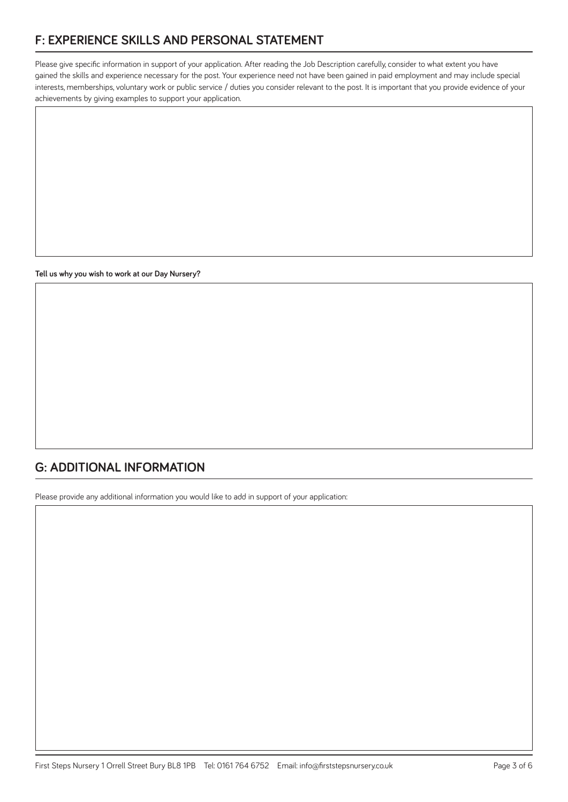## **F: EXPERIENCE SKILLS AND PERSONAL STATEMENT**

Please give specific information in support of your application. After reading the Job Description carefully, consider to what extent you have gained the skills and experience necessary for the post. Your experience need not have been gained in paid employment and may include special interests, memberships, voluntary work or public service / duties you consider relevant to the post. It is important that you provide evidence of your achievements by giving examples to support your application.

**Tell us why you wish to work at our Day Nursery?** 

## **G: ADDITIONAL INFORMATION**

Please provide any additional information you would like to add in support of your application: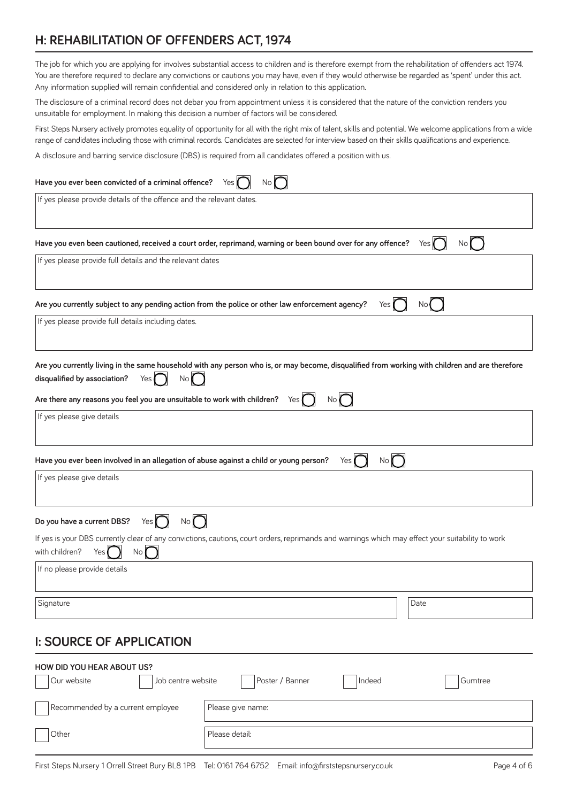## **H: REHABILITATION OF OFFENDERS ACT, 1974**

The job for which you are applying for involves substantial access to children and is therefore exempt from the rehabilitation of ofenders act 1974. You are therefore required to declare any convictions or cautions you may have, even if they would otherwise be regarded as 'spent' under this act. Any information supplied will remain confidential and considered only in relation to this application.

The disclosure of a criminal record does not debar you from appointment unless it is considered that the nature of the conviction renders you unsuitable for employment. In making this decision a number of factors will be considered.

First Steps Nursery actively promotes equality of opportunity for all with the right mix of talent, skills and potential. We welcome applications from a wide range of candidates including those with criminal records. Candidates are selected for interview based on their skills qualifications and experience.

A disclosure and barring service disclosure (DBS) is required from all candidates ofered a position with us.

| Have you ever been convicted of a criminal offence?<br>Yes                                                                                                                                                                                                                                                                 |
|----------------------------------------------------------------------------------------------------------------------------------------------------------------------------------------------------------------------------------------------------------------------------------------------------------------------------|
| If yes please provide details of the offence and the relevant dates.                                                                                                                                                                                                                                                       |
| No( )<br>Have you even been cautioned, received a court order, reprimand, warning or been bound over for any offence?<br>Yes <b>(</b>                                                                                                                                                                                      |
| If yes please provide full details and the relevant dates                                                                                                                                                                                                                                                                  |
| Are you currently subject to any pending action from the police or other law enforcement agency?<br>Yes I<br>No (                                                                                                                                                                                                          |
| If yes please provide full details including dates.                                                                                                                                                                                                                                                                        |
| Are you currently living in the same household with any person who is, or may become, disqualified from working with children and are therefore<br>$No$ $\Box$<br>disqualified by association?<br>Yes $\blacksquare$<br>Are there any reasons you feel you are unsuitable to work with children?<br>$No$ (<br>Yes <b>I</b> |
| If yes please give details                                                                                                                                                                                                                                                                                                 |
| No<br>Have you ever been involved in an allegation of abuse against a child or young person?<br>Yes I                                                                                                                                                                                                                      |
| If yes please give details                                                                                                                                                                                                                                                                                                 |
| Yes $\bigcap$ No $\bigcap$<br>Do you have a current DBS?                                                                                                                                                                                                                                                                   |
| If yes is your DBS currently clear of any convictions, cautions, court orders, reprimands and warnings which may effect your suitability to work<br>with children?<br>No<br>Yes                                                                                                                                            |
| If no please provide details                                                                                                                                                                                                                                                                                               |
| Signature<br>Date                                                                                                                                                                                                                                                                                                          |
| <b>I: SOURCE OF APPLICATION</b>                                                                                                                                                                                                                                                                                            |
| <b>HOW DID YOU HEAR ABOUT US?</b><br>Job centre website<br>Poster / Banner<br>Our website<br>Indeed<br>Gumtree                                                                                                                                                                                                             |

Other Please detail:

Recommended by a current employee Please give name: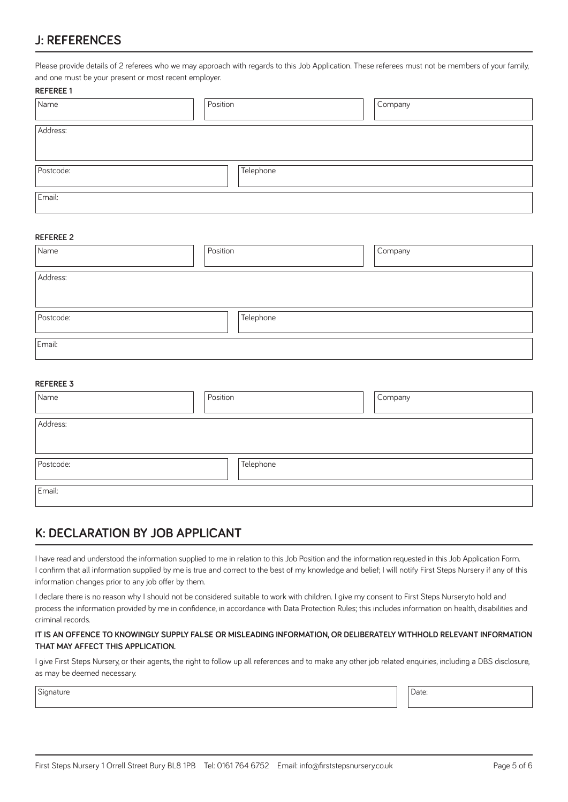#### **J: REFERENCES**

Please provide details of 2 referees who we may approach with regards to this Job Application. These referees must not be members of your family, and one must be your present or most recent employer.

#### **REFEREE 1**

| Name      | Position  | Company |
|-----------|-----------|---------|
| Address:  |           |         |
|           |           |         |
| Postcode: | Telephone |         |
| Email:    |           |         |

#### **REFEREE 2**

| Name      | Position  | Company |
|-----------|-----------|---------|
| Address:  |           |         |
| Postcode: | Telephone |         |
| Email:    |           |         |

#### **REFEREE 3**

| Name      | Position  | Company |
|-----------|-----------|---------|
| Address:  |           |         |
|           |           |         |
| Postcode: | Telephone |         |
| Email:    |           |         |

#### **K: DECLARATION BY JOB APPLICANT**

I have read and understood the information supplied to me in relation to this Job Position and the information requested in this Job Application Form. I confirm that all information supplied by me is true and correct to the best of my knowledge and belief; I will notify First Steps Nursery if any of this information changes prior to any job offer by them.

I declare there is no reason why I should not be considered suitable to work with children. I give my consent to First Steps Nurseryto hold and process the information provided by me in confidence, in accordance with Data Protection Rules; this includes information on health, disabilities and criminal records.

#### **IT IS AN OFFENCE TO KNOWINGLY SUPPLY FALSE OR MISLEADING INFORMATION, OR DELIBERATELY WITHHOLD RELEVANT INFORMATION THAT MAY AFFECT THIS APPLICATION.**

I give First Steps Nursery, or their agents, the right to follow up all references and to make any other job related enquiries, including a DBS disclosure, as may be deemed necessary.

Signature **Date:** Date: **Date: Date: Date: Date: Date: Date: Date: Date: Date: Date: Date: Date: Date: Date: Date: Date: Date: Date: Date: Date: Date: Date: Date: Date: Date: Date: Date: Date: Date: Date: Date: Date: Date:**